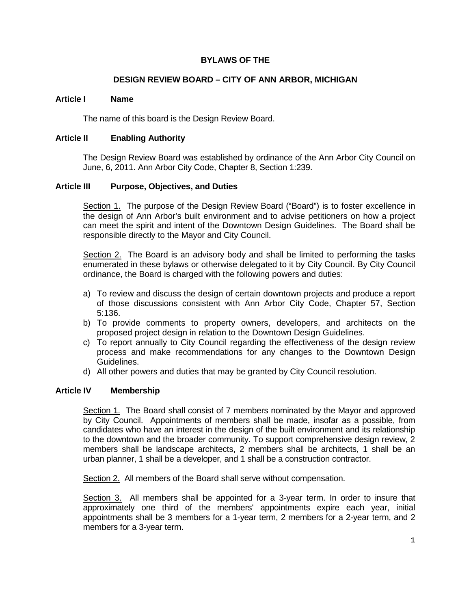# **BYLAWS OF THE**

# **DESIGN REVIEW BOARD – CITY OF ANN ARBOR, MICHIGAN**

### **Article I Name**

The name of this board is the Design Review Board.

### **Article II Enabling Authority**

The Design Review Board was established by ordinance of the Ann Arbor City Council on June, 6, 2011. Ann Arbor City Code, Chapter 8, Section 1:239.

### **Article III Purpose, Objectives, and Duties**

Section 1. The purpose of the Design Review Board ("Board") is to foster excellence in the design of Ann Arbor's built environment and to advise petitioners on how a project can meet the spirit and intent of the Downtown Design Guidelines. The Board shall be responsible directly to the Mayor and City Council.

Section 2. The Board is an advisory body and shall be limited to performing the tasks enumerated in these bylaws or otherwise delegated to it by City Council. By City Council ordinance, the Board is charged with the following powers and duties:

- a) To review and discuss the design of certain downtown projects and produce a report of those discussions consistent with Ann Arbor City Code, Chapter 57, Section 5:136.
- b) To provide comments to property owners, developers, and architects on the proposed project design in relation to the Downtown Design Guidelines.
- c) To report annually to City Council regarding the effectiveness of the design review process and make recommendations for any changes to the Downtown Design Guidelines.
- d) All other powers and duties that may be granted by City Council resolution.

#### **Article IV Membership**

Section 1. The Board shall consist of 7 members nominated by the Mayor and approved by City Council. Appointments of members shall be made, insofar as a possible, from candidates who have an interest in the design of the built environment and its relationship to the downtown and the broader community. To support comprehensive design review, 2 members shall be landscape architects, 2 members shall be architects, 1 shall be an urban planner, 1 shall be a developer, and 1 shall be a construction contractor.

Section 2. All members of the Board shall serve without compensation.

Section 3. All members shall be appointed for a 3-year term. In order to insure that approximately one third of the members' appointments expire each year, initial appointments shall be 3 members for a 1-year term, 2 members for a 2-year term, and 2 members for a 3-year term.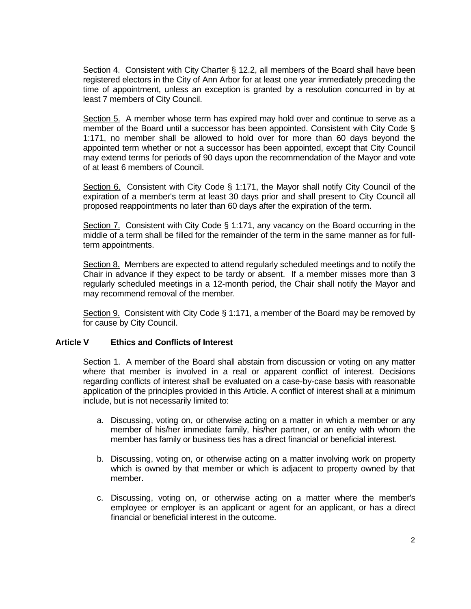Section 4. Consistent with City Charter § 12.2, all members of the Board shall have been registered electors in the City of Ann Arbor for at least one year immediately preceding the time of appointment, unless an exception is granted by a resolution concurred in by at least 7 members of City Council.

Section 5. A member whose term has expired may hold over and continue to serve as a member of the Board until a successor has been appointed. Consistent with City Code § 1:171, no member shall be allowed to hold over for more than 60 days beyond the appointed term whether or not a successor has been appointed, except that City Council may extend terms for periods of 90 days upon the recommendation of the Mayor and vote of at least 6 members of Council.

Section 6. Consistent with City Code § 1:171, the Mayor shall notify City Council of the expiration of a member's term at least 30 days prior and shall present to City Council all proposed reappointments no later than 60 days after the expiration of the term.

Section 7. Consistent with City Code § 1:171, any vacancy on the Board occurring in the middle of a term shall be filled for the remainder of the term in the same manner as for fullterm appointments.

Section 8. Members are expected to attend regularly scheduled meetings and to notify the Chair in advance if they expect to be tardy or absent. If a member misses more than 3 regularly scheduled meetings in a 12-month period, the Chair shall notify the Mayor and may recommend removal of the member.

Section 9. Consistent with City Code § 1:171, a member of the Board may be removed by for cause by City Council.

# **Article V Ethics and Conflicts of Interest**

Section 1. A member of the Board shall abstain from discussion or voting on any matter where that member is involved in a real or apparent conflict of interest. Decisions regarding conflicts of interest shall be evaluated on a case-by-case basis with reasonable application of the principles provided in this Article. A conflict of interest shall at a minimum include, but is not necessarily limited to:

- a. Discussing, voting on, or otherwise acting on a matter in which a member or any member of his/her immediate family, his/her partner, or an entity with whom the member has family or business ties has a direct financial or beneficial interest.
- b. Discussing, voting on, or otherwise acting on a matter involving work on property which is owned by that member or which is adjacent to property owned by that member.
- c. Discussing, voting on, or otherwise acting on a matter where the member's employee or employer is an applicant or agent for an applicant, or has a direct financial or beneficial interest in the outcome.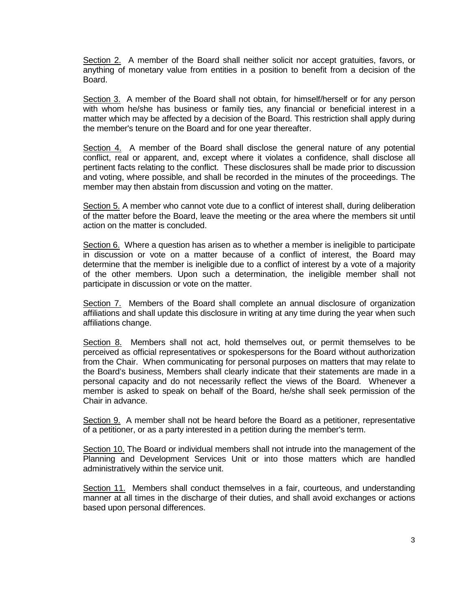Section 2. A member of the Board shall neither solicit nor accept gratuities, favors, or anything of monetary value from entities in a position to benefit from a decision of the Board.

Section 3. A member of the Board shall not obtain, for himself/herself or for any person with whom he/she has business or family ties, any financial or beneficial interest in a matter which may be affected by a decision of the Board. This restriction shall apply during the member's tenure on the Board and for one year thereafter.

Section 4. A member of the Board shall disclose the general nature of any potential conflict, real or apparent, and, except where it violates a confidence, shall disclose all pertinent facts relating to the conflict. These disclosures shall be made prior to discussion and voting, where possible, and shall be recorded in the minutes of the proceedings. The member may then abstain from discussion and voting on the matter.

Section 5. A member who cannot vote due to a conflict of interest shall, during deliberation of the matter before the Board, leave the meeting or the area where the members sit until action on the matter is concluded.

Section 6. Where a question has arisen as to whether a member is ineligible to participate in discussion or vote on a matter because of a conflict of interest, the Board may determine that the member is ineligible due to a conflict of interest by a vote of a majority of the other members. Upon such a determination, the ineligible member shall not participate in discussion or vote on the matter.

Section 7. Members of the Board shall complete an annual disclosure of organization affiliations and shall update this disclosure in writing at any time during the year when such affiliations change.

Section 8. Members shall not act, hold themselves out, or permit themselves to be perceived as official representatives or spokespersons for the Board without authorization from the Chair. When communicating for personal purposes on matters that may relate to the Board's business, Members shall clearly indicate that their statements are made in a personal capacity and do not necessarily reflect the views of the Board. Whenever a member is asked to speak on behalf of the Board, he/she shall seek permission of the Chair in advance.

Section 9. A member shall not be heard before the Board as a petitioner, representative of a petitioner, or as a party interested in a petition during the member's term.

Section 10. The Board or individual members shall not intrude into the management of the Planning and Development Services Unit or into those matters which are handled administratively within the service unit.

Section 11. Members shall conduct themselves in a fair, courteous, and understanding manner at all times in the discharge of their duties, and shall avoid exchanges or actions based upon personal differences.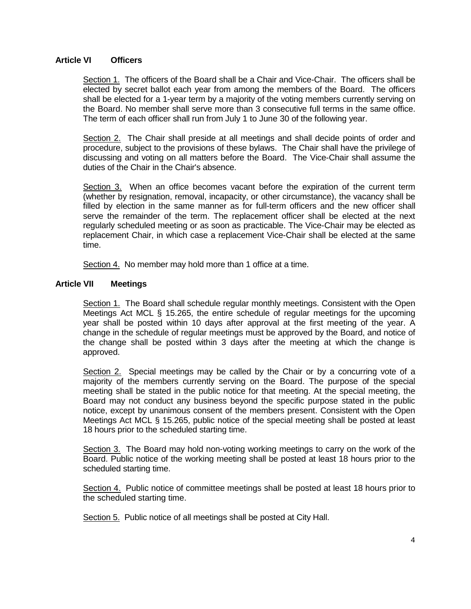## **Article VI Officers**

Section 1. The officers of the Board shall be a Chair and Vice-Chair. The officers shall be elected by secret ballot each year from among the members of the Board. The officers shall be elected for a 1-year term by a majority of the voting members currently serving on the Board. No member shall serve more than 3 consecutive full terms in the same office. The term of each officer shall run from July 1 to June 30 of the following year.

Section 2. The Chair shall preside at all meetings and shall decide points of order and procedure, subject to the provisions of these bylaws. The Chair shall have the privilege of discussing and voting on all matters before the Board. The Vice-Chair shall assume the duties of the Chair in the Chair's absence.

Section 3. When an office becomes vacant before the expiration of the current term (whether by resignation, removal, incapacity, or other circumstance), the vacancy shall be filled by election in the same manner as for full-term officers and the new officer shall serve the remainder of the term. The replacement officer shall be elected at the next regularly scheduled meeting or as soon as practicable. The Vice-Chair may be elected as replacement Chair, in which case a replacement Vice-Chair shall be elected at the same time.

Section 4. No member may hold more than 1 office at a time.

## **Article VII Meetings**

Section 1. The Board shall schedule regular monthly meetings. Consistent with the Open Meetings Act MCL § 15.265, the entire schedule of regular meetings for the upcoming year shall be posted within 10 days after approval at the first meeting of the year. A change in the schedule of regular meetings must be approved by the Board, and notice of the change shall be posted within 3 days after the meeting at which the change is approved.

Section 2. Special meetings may be called by the Chair or by a concurring vote of a majority of the members currently serving on the Board. The purpose of the special meeting shall be stated in the public notice for that meeting. At the special meeting, the Board may not conduct any business beyond the specific purpose stated in the public notice, except by unanimous consent of the members present. Consistent with the Open Meetings Act MCL § 15.265, public notice of the special meeting shall be posted at least 18 hours prior to the scheduled starting time.

Section 3. The Board may hold non-voting working meetings to carry on the work of the Board. Public notice of the working meeting shall be posted at least 18 hours prior to the scheduled starting time.

Section 4. Public notice of committee meetings shall be posted at least 18 hours prior to the scheduled starting time.

Section 5. Public notice of all meetings shall be posted at City Hall.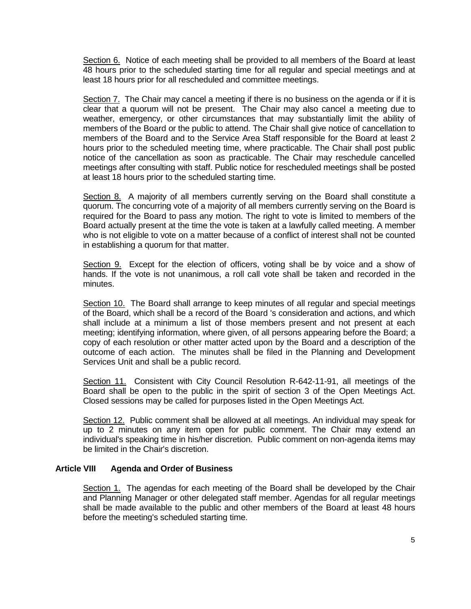Section 6. Notice of each meeting shall be provided to all members of the Board at least 48 hours prior to the scheduled starting time for all regular and special meetings and at least 18 hours prior for all rescheduled and committee meetings.

Section 7. The Chair may cancel a meeting if there is no business on the agenda or if it is clear that a quorum will not be present. The Chair may also cancel a meeting due to weather, emergency, or other circumstances that may substantially limit the ability of members of the Board or the public to attend. The Chair shall give notice of cancellation to members of the Board and to the Service Area Staff responsible for the Board at least 2 hours prior to the scheduled meeting time, where practicable. The Chair shall post public notice of the cancellation as soon as practicable. The Chair may reschedule cancelled meetings after consulting with staff. Public notice for rescheduled meetings shall be posted at least 18 hours prior to the scheduled starting time.

Section 8. A majority of all members currently serving on the Board shall constitute a quorum. The concurring vote of a majority of all members currently serving on the Board is required for the Board to pass any motion. The right to vote is limited to members of the Board actually present at the time the vote is taken at a lawfully called meeting. A member who is not eligible to vote on a matter because of a conflict of interest shall not be counted in establishing a quorum for that matter.

Section 9. Except for the election of officers, voting shall be by voice and a show of hands. If the vote is not unanimous, a roll call vote shall be taken and recorded in the minutes.

Section 10. The Board shall arrange to keep minutes of all regular and special meetings of the Board, which shall be a record of the Board 's consideration and actions, and which shall include at a minimum a list of those members present and not present at each meeting; identifying information, where given, of all persons appearing before the Board; a copy of each resolution or other matter acted upon by the Board and a description of the outcome of each action. The minutes shall be filed in the Planning and Development Services Unit and shall be a public record.

Section 11. Consistent with City Council Resolution R-642-11-91, all meetings of the Board shall be open to the public in the spirit of section 3 of the Open Meetings Act. Closed sessions may be called for purposes listed in the Open Meetings Act.

Section 12. Public comment shall be allowed at all meetings. An individual may speak for up to 2 minutes on any item open for public comment. The Chair may extend an individual's speaking time in his/her discretion. Public comment on non-agenda items may be limited in the Chair's discretion.

## **Article VIII Agenda and Order of Business**

Section 1. The agendas for each meeting of the Board shall be developed by the Chair and Planning Manager or other delegated staff member. Agendas for all regular meetings shall be made available to the public and other members of the Board at least 48 hours before the meeting's scheduled starting time.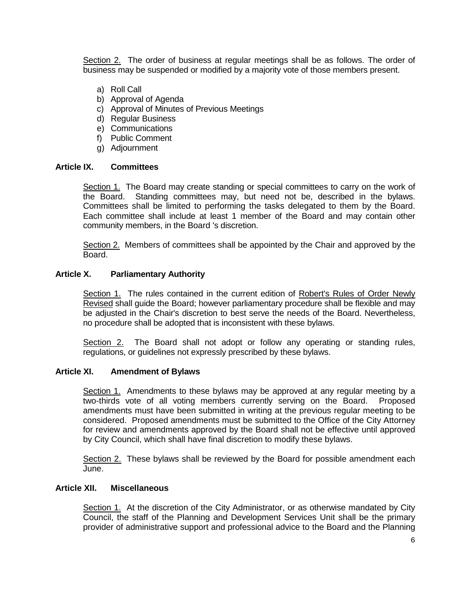Section 2. The order of business at regular meetings shall be as follows. The order of business may be suspended or modified by a majority vote of those members present.

- a) Roll Call
- b) Approval of Agenda
- c) Approval of Minutes of Previous Meetings
- d) Regular Business
- e) Communications
- f) Public Comment
- g) Adjournment

### **Article IX. Committees**

Section 1. The Board may create standing or special committees to carry on the work of the Board. Standing committees may, but need not be, described in the bylaws. Committees shall be limited to performing the tasks delegated to them by the Board. Each committee shall include at least 1 member of the Board and may contain other community members, in the Board 's discretion.

Section 2. Members of committees shall be appointed by the Chair and approved by the Board.

### **Article X. Parliamentary Authority**

Section 1. The rules contained in the current edition of Robert's Rules of Order Newly Revised shall guide the Board; however parliamentary procedure shall be flexible and may be adjusted in the Chair's discretion to best serve the needs of the Board. Nevertheless, no procedure shall be adopted that is inconsistent with these bylaws.

Section 2. The Board shall not adopt or follow any operating or standing rules, regulations, or guidelines not expressly prescribed by these bylaws.

#### **Article XI. Amendment of Bylaws**

Section 1. Amendments to these bylaws may be approved at any regular meeting by a two-thirds vote of all voting members currently serving on the Board. Proposed amendments must have been submitted in writing at the previous regular meeting to be considered. Proposed amendments must be submitted to the Office of the City Attorney for review and amendments approved by the Board shall not be effective until approved by City Council, which shall have final discretion to modify these bylaws.

Section 2. These bylaws shall be reviewed by the Board for possible amendment each June.

#### **Article XII. Miscellaneous**

Section 1. At the discretion of the City Administrator, or as otherwise mandated by City Council, the staff of the Planning and Development Services Unit shall be the primary provider of administrative support and professional advice to the Board and the Planning